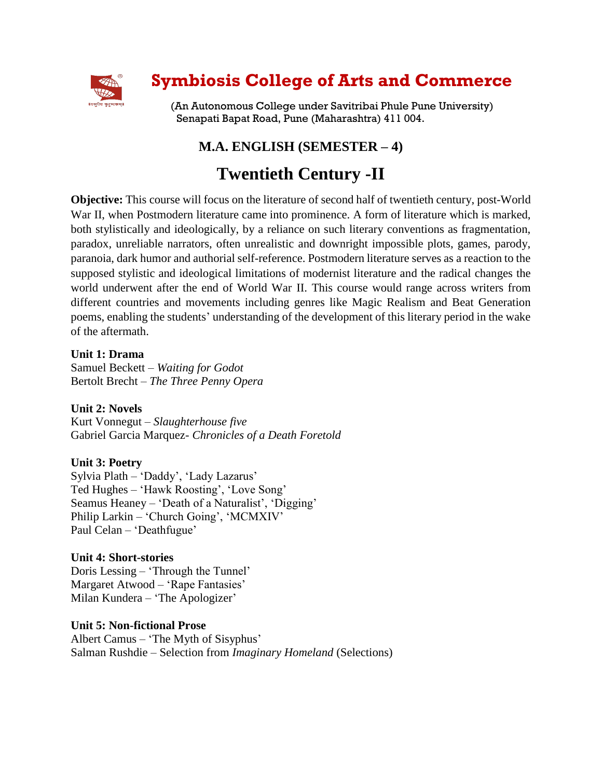

# **Symbiosis College of Arts and Commerce**

(An Autonomous College under Savitribai Phule Pune University) Senapati Bapat Road, Pune (Maharashtra) 411 004.

# **M.A. ENGLISH (SEMESTER – 4)**

# **Twentieth Century -II**

**Objective:** This course will focus on the literature of second half of twentieth century, post-World War II, when Postmodern literature came into prominence. A form of literature which is marked, both stylistically and ideologically, by a reliance on such literary conventions as fragmentation, paradox, unreliable narrators, often unrealistic and downright impossible plots, games, parody, paranoia, dark humor and authorial self-reference. Postmodern literature serves as a reaction to the supposed stylistic and ideological limitations of modernist literature and the radical changes the world underwent after the end of World War II. This course would range across writers from different countries and movements including genres like Magic Realism and Beat Generation poems, enabling the students' understanding of the development of this literary period in the wake of the aftermath.

## **Unit 1: Drama**

Samuel Beckett – *Waiting for Godot* Bertolt Brecht – *The Three Penny Opera*

# **Unit 2: Novels**

Kurt Vonnegut – *Slaughterhouse five* Gabriel Garcia Marquez- *Chronicles of a Death Foretold* 

### **Unit 3: Poetry**

Sylvia Plath – 'Daddy', 'Lady Lazarus' Ted Hughes – 'Hawk Roosting', 'Love Song' Seamus Heaney – 'Death of a Naturalist', 'Digging' Philip Larkin – 'Church Going', 'MCMXIV' Paul Celan – 'Deathfugue'

### **Unit 4: Short-stories**

Doris Lessing – 'Through the Tunnel' Margaret Atwood – 'Rape Fantasies' Milan Kundera – 'The Apologizer'

### **Unit 5: Non-fictional Prose**

Albert Camus – 'The Myth of Sisyphus' Salman Rushdie – Selection from *Imaginary Homeland* (Selections)